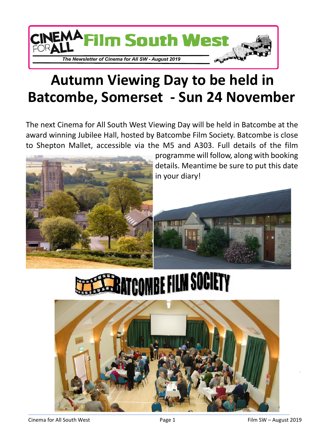

## **Autumn Viewing Day to be held in Batcombe, Somerset - Sun 24 November**

The next Cinema for All South West Viewing Day will be held in Batcombe at the award winning Jubilee Hall, hosted by Batcombe Film Society. Batcombe is close to Shepton Mallet, accessible via the M5 and A303. Full details of the film



**ATCOMBE FILM SOCIETY** 

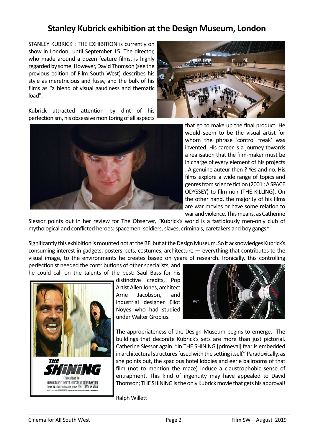## **Stanley Kubrick exhibition at the Design Museum, London**

STANLEY KUBRICK : THE EXHIBITION is currently on show in London until September 15. The director, who made around a dozen feature films, is highly regarded by some. However, David Thomson (see the previous edition of Film South West) describes his style as meretricious and fussy, and the bulk of his films as "a blend of visual gaudiness and thematic load".



Kubrick attracted attention by dint of his perfectionism, his obsessive monitoring of all aspects



that go to make up the final product. He would seem to be the visual artist for whom the phrase 'control freak' was invented. His career is a journey towards a realisation that the film-maker must be in charge of every element of his projects . A genuine auteur then ? Yes and no. His films explore a wide range of topics and genres from science fiction (2001 : A SPACE ODYSSEY) to film noir (THE KILLING). On the other hand, the majority of his films are war movies or have some relation to war and violence. This means, as Catherine

Slessor points out in her review for The Observer, "Kubrick's world is a fastidiously men-only club of mythological and conflicted heroes: spacemen, soldiers, slaves, criminals, caretakers and boy gangs."

Significantly this exhibition is mounted not at the BFI but at the Design Museum. So it acknowledges Kubrick's consuming interest in gadgets, posters, sets, costumes, architecture — everything that contributes to the visual image, to the environments he creates based on years of research. Ironically, this controlling

perfectionist needed the contributions of other specialists, and he could call on the talents of the best: Saul Bass for his



distinctive credits, Pop Artist Allen Jones, architect Arne Jacobson, and industrial designer Eliot Noyes who had studied under Walter Gropius.



The appropriateness of the Design Museum begins to emerge. The buildings that decorate Kubrick's sets are more than just pictorial. Catherine Slessor again: "In THE SHINING [primeval] fear is embedded in architectural structures fused with the setting itself." Paradoxically, as she points out, the spacious hotel lobbies and eerie ballrooms of that film (not to mention the maze) induce a claustrophobic sense of entrapment. This kind of ingenuity may have appealed to David Thomson; THE SHINING is the only Kubrick movie that gets his approval!

Ralph Willett